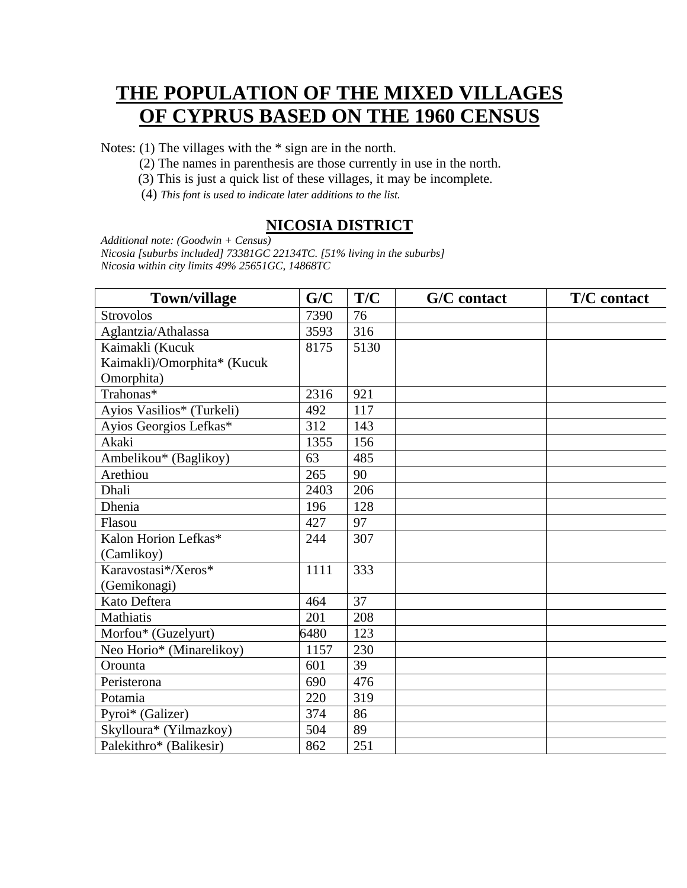# **THE POPULATION OF THE MIXED VILLAGES OF CYPRUS BASED ON THE 1960 CENSUS**

Notes: (1) The villages with the \* sign are in the north.

- (2) The names in parenthesis are those currently in use in the north.
- (3) This is just a quick list of these villages, it may be incomplete.
- (4) *This font is used to indicate later additions to the list.*

#### **NICOSIA DISTRICT**

*Additional note: (Goodwin + Census) Nicosia [suburbs included] 73381GC 22134TC. [51% living in the suburbs] Nicosia within city limits 49% 25651GC, 14868TC*

| <b>Town/village</b>         | G/C  | T/C  | G/C contact | <b>T/C</b> contact |
|-----------------------------|------|------|-------------|--------------------|
| <b>Strovolos</b>            | 7390 | 76   |             |                    |
| Aglantzia/Athalassa         | 3593 | 316  |             |                    |
| Kaimakli (Kucuk             | 8175 | 5130 |             |                    |
| Kaimakli)/Omorphita* (Kucuk |      |      |             |                    |
| Omorphita)                  |      |      |             |                    |
| Trahonas*                   | 2316 | 921  |             |                    |
| Ayios Vasilios* (Turkeli)   | 492  | 117  |             |                    |
| Ayios Georgios Lefkas*      | 312  | 143  |             |                    |
| Akaki                       | 1355 | 156  |             |                    |
| Ambelikou* (Baglikoy)       | 63   | 485  |             |                    |
| Arethiou                    | 265  | 90   |             |                    |
| Dhali                       | 2403 | 206  |             |                    |
| Dhenia                      | 196  | 128  |             |                    |
| Flasou                      | 427  | 97   |             |                    |
| Kalon Horion Lefkas*        | 244  | 307  |             |                    |
| (Camlikoy)                  |      |      |             |                    |
| Karavostasi*/Xeros*         | 1111 | 333  |             |                    |
| (Gemikonagi)                |      |      |             |                    |
| Kato Deftera                | 464  | 37   |             |                    |
| <b>Mathiatis</b>            | 201  | 208  |             |                    |
| Morfou* (Guzelyurt)         | 6480 | 123  |             |                    |
| Neo Horio* (Minarelikoy)    | 1157 | 230  |             |                    |
| Orounta                     | 601  | 39   |             |                    |
| Peristerona                 | 690  | 476  |             |                    |
| Potamia                     | 220  | 319  |             |                    |
| Pyroi* (Galizer)            | 374  | 86   |             |                    |
| Skylloura* (Yilmazkoy)      | 504  | 89   |             |                    |
| Palekithro* (Balikesir)     | 862  | 251  |             |                    |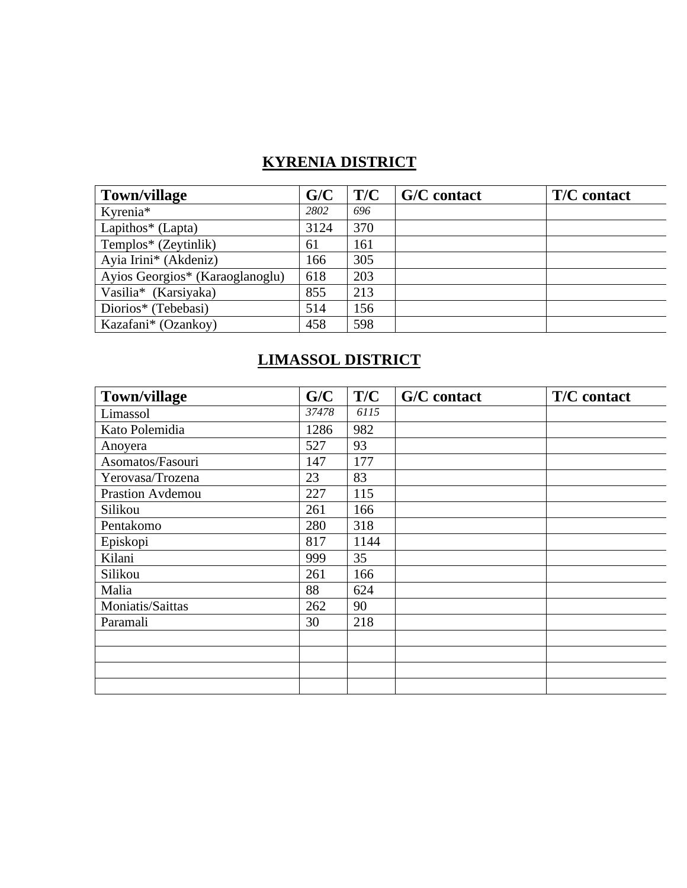## **KYRENIA DISTRICT**

| <b>Town/village</b>             | G/C  | T/C | G/C contact | <b>T/C</b> contact |
|---------------------------------|------|-----|-------------|--------------------|
| Kyrenia*                        | 2802 | 696 |             |                    |
| Lapithos $*$ (Lapta)            | 3124 | 370 |             |                    |
| Templos* (Zeytinlik)            | 61   | 161 |             |                    |
| Ayia Irini* (Akdeniz)           | 166  | 305 |             |                    |
| Ayios Georgios* (Karaoglanoglu) | 618  | 203 |             |                    |
| Vasilia* (Karsiyaka)            | 855  | 213 |             |                    |
| Diorios* (Tebebasi)             | 514  | 156 |             |                    |
| Kazafani* (Ozankoy)             | 458  | 598 |             |                    |

#### **LIMASSOL DISTRICT**

| <b>Town/village</b> | G/C   | T/C  | G/C contact | T/C contact |
|---------------------|-------|------|-------------|-------------|
| Limassol            | 37478 | 6115 |             |             |
| Kato Polemidia      | 1286  | 982  |             |             |
| Anoyera             | 527   | 93   |             |             |
| Asomatos/Fasouri    | 147   | 177  |             |             |
| Yerovasa/Trozena    | 23    | 83   |             |             |
| Prastion Avdemou    | 227   | 115  |             |             |
| Silikou             | 261   | 166  |             |             |
| Pentakomo           | 280   | 318  |             |             |
| Episkopi            | 817   | 1144 |             |             |
| Kilani              | 999   | 35   |             |             |
| Silikou             | 261   | 166  |             |             |
| Malia               | 88    | 624  |             |             |
| Moniatis/Saittas    | 262   | 90   |             |             |
| Paramali            | 30    | 218  |             |             |
|                     |       |      |             |             |
|                     |       |      |             |             |
|                     |       |      |             |             |
|                     |       |      |             |             |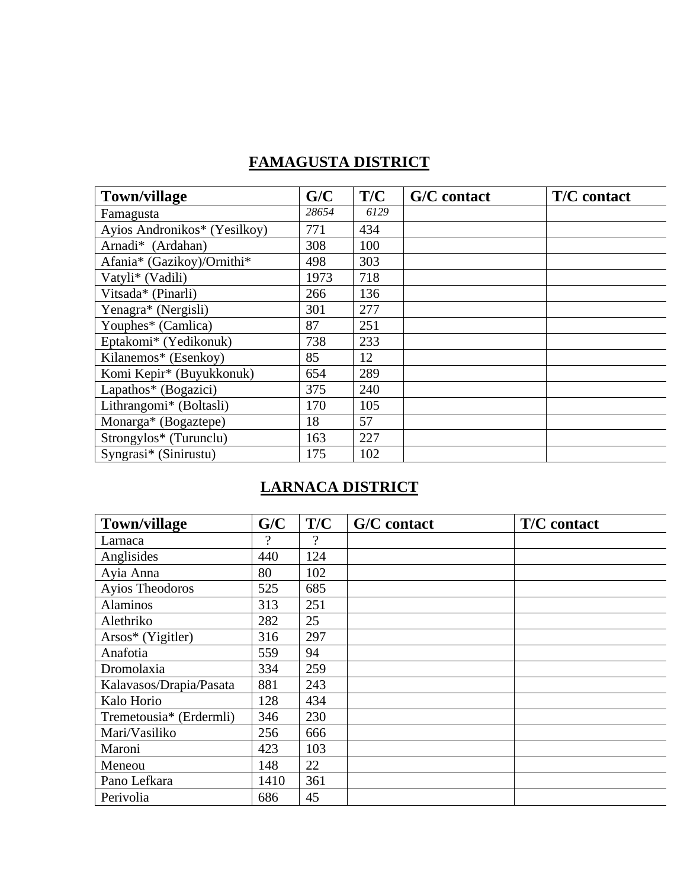### **FAMAGUSTA DISTRICT**

| <b>Town/village</b>          | G/C   | T/C  | <b>G/C</b> contact | <b>T/C</b> contact |
|------------------------------|-------|------|--------------------|--------------------|
| Famagusta                    | 28654 | 6129 |                    |                    |
| Ayios Andronikos* (Yesilkoy) | 771   | 434  |                    |                    |
| Arnadi* (Ardahan)            | 308   | 100  |                    |                    |
| Afania* (Gazikoy)/Ornithi*   | 498   | 303  |                    |                    |
| Vatyli* (Vadili)             | 1973  | 718  |                    |                    |
| Vitsada* (Pinarli)           | 266   | 136  |                    |                    |
| Yenagra* (Nergisli)          | 301   | 277  |                    |                    |
| Youphes* (Camlica)           | 87    | 251  |                    |                    |
| Eptakomi* (Yedikonuk)        | 738   | 233  |                    |                    |
| Kilanemos* (Esenkoy)         | 85    | 12   |                    |                    |
| Komi Kepir* (Buyukkonuk)     | 654   | 289  |                    |                    |
| Lapathos* (Bogazici)         | 375   | 240  |                    |                    |
| Lithrangomi* (Boltasli)      | 170   | 105  |                    |                    |
| Monarga* (Bogaztepe)         | 18    | 57   |                    |                    |
| Strongylos* (Turunclu)       | 163   | 227  |                    |                    |
| Syngrasi* (Sinirustu)        | 175   | 102  |                    |                    |

## **LARNACA DISTRICT**

| <b>Town/village</b>     | G/C  | T/C | G/C contact | T/C contact |
|-------------------------|------|-----|-------------|-------------|
| Larnaca                 | ?    | ?   |             |             |
| Anglisides              | 440  | 124 |             |             |
| Ayia Anna               | 80   | 102 |             |             |
| Ayios Theodoros         | 525  | 685 |             |             |
| <b>Alaminos</b>         | 313  | 251 |             |             |
| Alethriko               | 282  | 25  |             |             |
| Arsos* (Yigitler)       | 316  | 297 |             |             |
| Anafotia                | 559  | 94  |             |             |
| Dromolaxia              | 334  | 259 |             |             |
| Kalavasos/Drapia/Pasata | 881  | 243 |             |             |
| Kalo Horio              | 128  | 434 |             |             |
| Tremetousia* (Erdermli) | 346  | 230 |             |             |
| Mari/Vasiliko           | 256  | 666 |             |             |
| Maroni                  | 423  | 103 |             |             |
| Meneou                  | 148  | 22  |             |             |
| Pano Lefkara            | 1410 | 361 |             |             |
| Perivolia               | 686  | 45  |             |             |